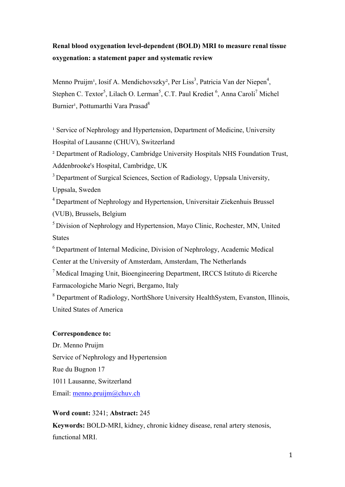# **Renal blood oxygenation level-dependent (BOLD) MRI to measure renal tissue oxygenation: a statement paper and systematic review**

Menno Pruijm<sup>1</sup>, Iosif A. Mendichovszky<sup>2</sup>, Per Liss<sup>3</sup>, Patricia Van der Niepen<sup>4</sup>, Stephen C. Textor<sup>5</sup>, Lilach O. Lerman<sup>5</sup>, C.T. Paul Krediet <sup>6</sup>, Anna Caroli<sup>7</sup> Michel Burnier<sup>1</sup>, Pottumarthi Vara Prasad<sup>8</sup>

<sup>1</sup> Service of Nephrology and Hypertension, Department of Medicine, University Hospital of Lausanne (CHUV), Switzerland

² Department of Radiology, Cambridge University Hospitals NHS Foundation Trust, Addenbrooke's Hospital, Cambridge, UK

<sup>3</sup> Department of Surgical Sciences, Section of Radiology, Uppsala University, Uppsala, Sweden

4 Department of Nephrology and Hypertension, Universitair Ziekenhuis Brussel (VUB), Brussels, Belgium

5 Division of Nephrology and Hypertension, Mayo Clinic, Rochester, MN, United States

<sup>6</sup> Department of Internal Medicine, Division of Nephrology, Academic Medical Center at the University of Amsterdam, Amsterdam, The Netherlands

7 Medical Imaging Unit, Bioengineering Department, IRCCS Istituto di Ricerche Farmacologiche Mario Negri, Bergamo, Italy

<sup>8</sup> Department of Radiology, NorthShore University HealthSystem, Evanston, Illinois, United States of America

## **Correspondence to:**

Dr. Menno Pruijm Service of Nephrology and Hypertension Rue du Bugnon 17 1011 Lausanne, Switzerland Email: menno.pruijm@chuv.ch

## **Word count:** 3241; **Abstract:** 245

**Keywords:** BOLD-MRI, kidney, chronic kidney disease, renal artery stenosis, functional MRI.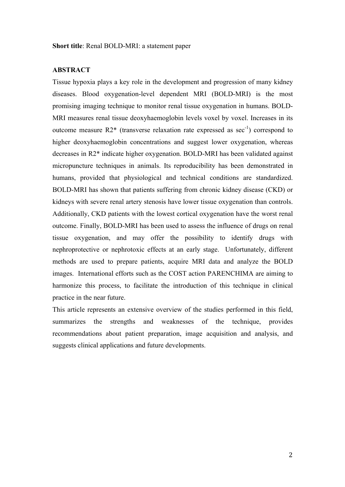#### **ABSTRACT**

Tissue hypoxia plays a key role in the development and progression of many kidney diseases. Blood oxygenation-level dependent MRI (BOLD-MRI) is the most promising imaging technique to monitor renal tissue oxygenation in humans. BOLD-MRI measures renal tissue deoxyhaemoglobin levels voxel by voxel. Increases in its outcome measure  $R2^*$  (transverse relaxation rate expressed as sec<sup>-1</sup>) correspond to higher deoxyhaemoglobin concentrations and suggest lower oxygenation, whereas decreases in R2\* indicate higher oxygenation. BOLD-MRI has been validated against micropuncture techniques in animals. Its reproducibility has been demonstrated in humans, provided that physiological and technical conditions are standardized. BOLD-MRI has shown that patients suffering from chronic kidney disease (CKD) or kidneys with severe renal artery stenosis have lower tissue oxygenation than controls. Additionally, CKD patients with the lowest cortical oxygenation have the worst renal outcome. Finally, BOLD-MRI has been used to assess the influence of drugs on renal tissue oxygenation, and may offer the possibility to identify drugs with nephroprotective or nephrotoxic effects at an early stage. Unfortunately, different methods are used to prepare patients, acquire MRI data and analyze the BOLD images. International efforts such as the COST action PARENCHIMA are aiming to harmonize this process, to facilitate the introduction of this technique in clinical practice in the near future.

This article represents an extensive overview of the studies performed in this field, summarizes the strengths and weaknesses of the technique, provides recommendations about patient preparation, image acquisition and analysis, and suggests clinical applications and future developments.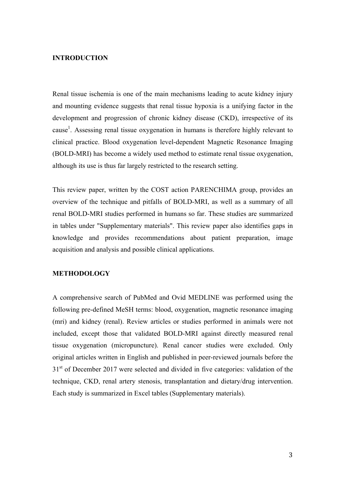### **INTRODUCTION**

Renal tissue ischemia is one of the main mechanisms leading to acute kidney injury and mounting evidence suggests that renal tissue hypoxia is a unifying factor in the development and progression of chronic kidney disease (CKD), irrespective of its cause<sup>1</sup>. Assessing renal tissue oxygenation in humans is therefore highly relevant to clinical practice. Blood oxygenation level-dependent Magnetic Resonance Imaging (BOLD-MRI) has become a widely used method to estimate renal tissue oxygenation, although its use is thus far largely restricted to the research setting.

This review paper, written by the COST action PARENCHIMA group, provides an overview of the technique and pitfalls of BOLD-MRI, as well as a summary of all renal BOLD-MRI studies performed in humans so far. These studies are summarized in tables under "Supplementary materials". This review paper also identifies gaps in knowledge and provides recommendations about patient preparation, image acquisition and analysis and possible clinical applications.

#### **METHODOLOGY**

A comprehensive search of PubMed and Ovid MEDLINE was performed using the following pre-defined MeSH terms: blood, oxygenation, magnetic resonance imaging (mri) and kidney (renal). Review articles or studies performed in animals were not included, except those that validated BOLD-MRI against directly measured renal tissue oxygenation (micropuncture). Renal cancer studies were excluded. Only original articles written in English and published in peer-reviewed journals before the 31<sup>st</sup> of December 2017 were selected and divided in five categories: validation of the technique, CKD, renal artery stenosis, transplantation and dietary/drug intervention. Each study is summarized in Excel tables (Supplementary materials).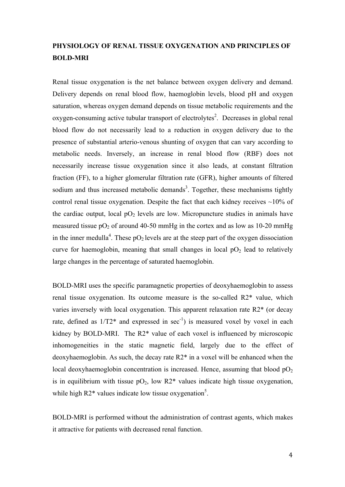## **PHYSIOLOGY OF RENAL TISSUE OXYGENATION AND PRINCIPLES OF BOLD-MRI**

Renal tissue oxygenation is the net balance between oxygen delivery and demand. Delivery depends on renal blood flow, haemoglobin levels, blood pH and oxygen saturation, whereas oxygen demand depends on tissue metabolic requirements and the oxygen-consuming active tubular transport of electrolytes<sup>2</sup>. Decreases in global renal blood flow do not necessarily lead to a reduction in oxygen delivery due to the presence of substantial arterio-venous shunting of oxygen that can vary according to metabolic needs. Inversely, an increase in renal blood flow (RBF) does not necessarily increase tissue oxygenation since it also leads, at constant filtration fraction (FF), to a higher glomerular filtration rate (GFR), higher amounts of filtered sodium and thus increased metabolic demands<sup>3</sup>. Together, these mechanisms tightly control renal tissue oxygenation. Despite the fact that each kidney receives  $\sim$ 10% of the cardiac output, local  $pO_2$  levels are low. Micropuncture studies in animals have measured tissue  $pO_2$  of around 40-50 mmHg in the cortex and as low as 10-20 mmHg in the inner medulla<sup>4</sup>. These  $pO_2$  levels are at the steep part of the oxygen dissociation curve for haemoglobin, meaning that small changes in local  $pO<sub>2</sub>$  lead to relatively large changes in the percentage of saturated haemoglobin.

BOLD-MRI uses the specific paramagnetic properties of deoxyhaemoglobin to assess renal tissue oxygenation. Its outcome measure is the so-called R2\* value, which varies inversely with local oxygenation. This apparent relaxation rate R2\* (or decay rate, defined as  $1/T2^*$  and expressed in sec<sup>-1</sup>) is measured voxel by voxel in each kidney by BOLD-MRI. The R2\* value of each voxel is influenced by microscopic inhomogeneities in the static magnetic field, largely due to the effect of deoxyhaemoglobin. As such, the decay rate R2\* in a voxel will be enhanced when the local deoxyhaemoglobin concentration is increased. Hence, assuming that blood  $pO<sub>2</sub>$ is in equilibrium with tissue  $pO_2$ , low R2<sup>\*</sup> values indicate high tissue oxygenation, while high  $R2^*$  values indicate low tissue oxygenation<sup>5</sup>.

BOLD-MRI is performed without the administration of contrast agents, which makes it attractive for patients with decreased renal function.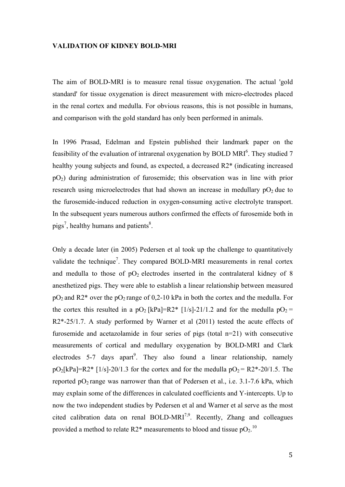#### **VALIDATION OF KIDNEY BOLD-MRI**

The aim of BOLD-MRI is to measure renal tissue oxygenation. The actual 'gold standard' for tissue oxygenation is direct measurement with micro-electrodes placed in the renal cortex and medulla. For obvious reasons, this is not possible in humans, and comparison with the gold standard has only been performed in animals.

In 1996 Prasad, Edelman and Epstein published their landmark paper on the feasibility of the evaluation of intrarenal oxygenation by BOLD MRI $<sup>6</sup>$ . They studied 7</sup> healthy young subjects and found, as expected, a decreased R2\* (indicating increased pO2) during administration of furosemide; this observation was in line with prior research using microelectrodes that had shown an increase in medullary  $pO<sub>2</sub>$  due to the furosemide-induced reduction in oxygen-consuming active electrolyte transport. In the subsequent years numerous authors confirmed the effects of furosemide both in  $pigs<sup>7</sup>$ , healthy humans and patients<sup>8</sup>.

Only a decade later (in 2005) Pedersen et al took up the challenge to quantitatively validate the technique<sup>7</sup>. They compared BOLD-MRI measurements in renal cortex and medulla to those of  $pO<sub>2</sub>$  electrodes inserted in the contralateral kidney of 8 anesthetized pigs. They were able to establish a linear relationship between measured  $pO_2$  and R2<sup>\*</sup> over the  $pO_2$  range of 0,2-10 kPa in both the cortex and the medulla. For the cortex this resulted in a pO<sub>2</sub> [kPa]=R2\* [1/s]-21/1.2 and for the medulla pO<sub>2</sub> = R2\*-25/1.7. A study performed by Warner et al (2011) tested the acute effects of furosemide and acetazolamide in four series of pigs (total n=21) with consecutive measurements of cortical and medullary oxygenation by BOLD-MRI and Clark electrodes  $5-7$  days apart<sup>9</sup>. They also found a linear relationship, namely  $pO_2[kPa] = R2* [1/s] - 20/1.3$  for the cortex and for the medulla  $pO_2 = R2*-20/1.5$ . The reported  $pO_2$  range was narrower than that of Pedersen et al., i.e. 3.1-7.6 kPa, which may explain some of the differences in calculated coefficients and Y-intercepts. Up to now the two independent studies by Pedersen et al and Warner et al serve as the most cited calibration data on renal BOLD-MRI<sup>7,9</sup>. Recently, Zhang and colleagues provided a method to relate R2\* measurements to blood and tissue  $pO_2$ .<sup>10</sup>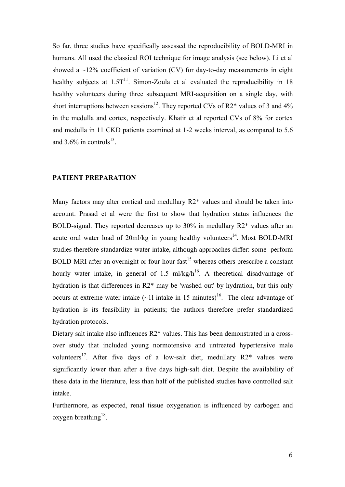So far, three studies have specifically assessed the reproducibility of BOLD-MRI in humans. All used the classical ROI technique for image analysis (see below). Li et al showed a  $\sim$ 12% coefficient of variation (CV) for day-to-day measurements in eight healthy subjects at  $1.5T<sup>11</sup>$ . Simon-Zoula et al evaluated the reproducibility in 18 healthy volunteers during three subsequent MRI-acquisition on a single day, with short interruptions between sessions<sup>12</sup>. They reported CVs of R2 $*$  values of 3 and 4% in the medulla and cortex, respectively. Khatir et al reported CVs of 8% for cortex and medulla in 11 CKD patients examined at 1-2 weeks interval, as compared to 5.6 and  $3.6\%$  in controls<sup>13</sup>.

#### **PATIENT PREPARATION**

Many factors may alter cortical and medullary R2\* values and should be taken into account. Prasad et al were the first to show that hydration status influences the BOLD-signal. They reported decreases up to 30% in medullary R2\* values after an acute oral water load of  $20$ ml/kg in young healthy volunteers<sup>14</sup>. Most BOLD-MRI studies therefore standardize water intake, although approaches differ: some perform BOLD-MRI after an overnight or four-hour fast<sup>15</sup> whereas others prescribe a constant hourly water intake, in general of 1.5 ml/kg/h<sup>16</sup>. A theoretical disadvantage of hydration is that differences in R2\* may be 'washed out' by hydration, but this only occurs at extreme water intake  $(-11)$  intake in 15 minutes)<sup>16</sup>. The clear advantage of hydration is its feasibility in patients; the authors therefore prefer standardized hydration protocols.

Dietary salt intake also influences R2\* values. This has been demonstrated in a crossover study that included young normotensive and untreated hypertensive male volunteers<sup>17</sup>. After five days of a low-salt diet, medullary  $R2^*$  values were significantly lower than after a five days high-salt diet. Despite the availability of these data in the literature, less than half of the published studies have controlled salt intake.

Furthermore, as expected, renal tissue oxygenation is influenced by carbogen and oxygen breathing<sup>18</sup>.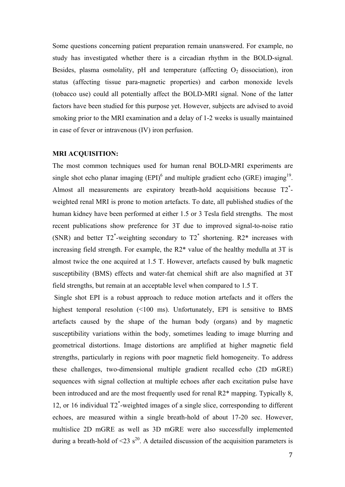Some questions concerning patient preparation remain unanswered. For example, no study has investigated whether there is a circadian rhythm in the BOLD-signal. Besides, plasma osmolality, pH and temperature (affecting  $O<sub>2</sub>$  dissociation), iron status (affecting tissue para-magnetic properties) and carbon monoxide levels (tobacco use) could all potentially affect the BOLD-MRI signal. None of the latter factors have been studied for this purpose yet. However, subjects are advised to avoid smoking prior to the MRI examination and a delay of 1-2 weeks is usually maintained in case of fever or intravenous (IV) iron perfusion.

#### **MRI ACQUISITION:**

The most common techniques used for human renal BOLD-MRI experiments are single shot echo planar imaging  $(EPI)^6$  and multiple gradient echo (GRE) imaging<sup>19</sup>. Almost all measurements are expiratory breath-hold acquisitions because T2<sup>\*</sup>weighted renal MRI is prone to motion artefacts. To date, all published studies of the human kidney have been performed at either 1.5 or 3 Tesla field strengths. The most recent publications show preference for 3T due to improved signal-to-noise ratio (SNR) and better  $T2^*$ -weighting secondary to  $T2^*$  shortening. R2\* increases with increasing field strength. For example, the R2\* value of the healthy medulla at 3T is almost twice the one acquired at 1.5 T. However, artefacts caused by bulk magnetic susceptibility (BMS) effects and water-fat chemical shift are also magnified at 3T field strengths, but remain at an acceptable level when compared to 1.5 T.

Single shot EPI is a robust approach to reduce motion artefacts and it offers the highest temporal resolution (<100 ms). Unfortunately, EPI is sensitive to BMS artefacts caused by the shape of the human body (organs) and by magnetic susceptibility variations within the body, sometimes leading to image blurring and geometrical distortions. Image distortions are amplified at higher magnetic field strengths, particularly in regions with poor magnetic field homogeneity. To address these challenges, two-dimensional multiple gradient recalled echo (2D mGRE) sequences with signal collection at multiple echoes after each excitation pulse have been introduced and are the most frequently used for renal R2\* mapping. Typically 8, 12, or 16 individual T2\* -weighted images of a single slice, corresponding to different echoes, are measured within a single breath-hold of about 17-20 sec. However, multislice 2D mGRE as well as 3D mGRE were also successfully implemented during a breath-hold of  $\leq 23$  s<sup>20</sup>. A detailed discussion of the acquisition parameters is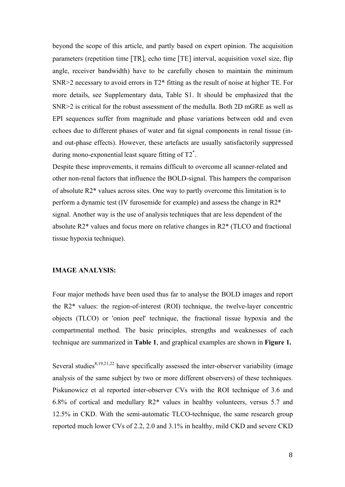beyond the scope of this article, and partly based on expert opinion. The acquisition parameters (repetition time [TR], echo time [TE] interval, acquisition voxel size, flip angle, receiver bandwidth) have to be carefully chosen to maintain the minimum SNR>2 necessary to avoid errors in T2\* fitting as the result of noise at higher TE. For more details, see Supplementary data, Table S1. It should be emphasized that the SNR>2 is critical for the robust assessment of the medulla. Both 2D mGRE as well as EPI sequences suffer from magnitude and phase variations between odd and even echoes due to different phases of water and fat signal components in renal tissue (inand out-phase effects). However, these artefacts are usually satisfactorily suppressed during mono-exponential least square fitting of  $T2^*$ .

Despite these improvements, it remains difficult to overcome all scanner-related and other non-renal factors that influence the BOLD-signal. This hampers the comparison of absolute R2\* values across sites. One way to partly overcome this limitation is to perform a dynamic test (IV furosemide for example) and assess the change in R2\* signal. Another way is the use of analysis techniques that are less dependent of the absolute R2\* values and focus more on relative changes in R2\* (TLCO and fractional tissue hypoxia technique).

### **IMAGE ANALYSIS:**

Four major methods have been used thus far to analyse the BOLD images and report the R2\* values: the region-of-interest (ROI) technique, the twelve-layer concentric objects (TLCO) or 'onion peel' technique, the fractional tissue hypoxia and the compartmental method. The basic principles, strengths and weaknesses of each technique are summarized in **Table 1**, and graphical examples are shown in **Figure 1.**

Several studies<sup>8,19,21,22</sup> have specifically assessed the inter-observer variability (image analysis of the same subject by two or more different observers) of these techniques. Piskunowicz et al reported inter-observer CVs with the ROI technique of 3.6 and 6.8% of cortical and medullary R2\* values in healthy volunteers, versus 5.7 and 12.5% in CKD. With the semi-automatic TLCO-technique, the same research group reported much lower CVs of 2.2, 2.0 and 3.1% in healthy, mild CKD and severe CKD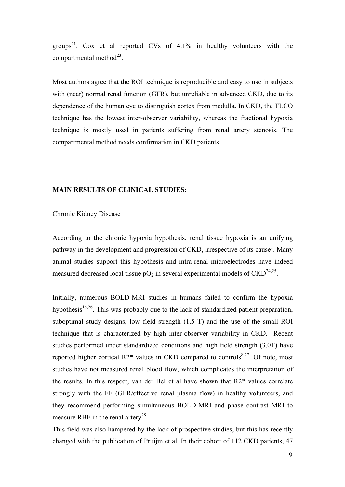groups<sup>21</sup>. Cox et al reported CVs of  $4.1\%$  in healthy volunteers with the compartmental method<sup>23</sup>.

Most authors agree that the ROI technique is reproducible and easy to use in subjects with (near) normal renal function (GFR), but unreliable in advanced CKD, due to its dependence of the human eye to distinguish cortex from medulla. In CKD, the TLCO technique has the lowest inter-observer variability, whereas the fractional hypoxia technique is mostly used in patients suffering from renal artery stenosis. The compartmental method needs confirmation in CKD patients.

#### **MAIN RESULTS OF CLINICAL STUDIES:**

#### Chronic Kidney Disease

According to the chronic hypoxia hypothesis, renal tissue hypoxia is an unifying pathway in the development and progression of CKD, irrespective of its cause<sup>1</sup>. Many animal studies support this hypothesis and intra-renal microelectrodes have indeed measured decreased local tissue  $pO_2$  in several experimental models of  $CKD^{24,25}$ .

Initially, numerous BOLD-MRI studies in humans failed to confirm the hypoxia hypothesis $16,26$ . This was probably due to the lack of standardized patient preparation, suboptimal study designs, low field strength (1.5 T) and the use of the small ROI technique that is characterized by high inter-observer variability in CKD. Recent studies performed under standardized conditions and high field strength (3.0T) have reported higher cortical  $R2^*$  values in CKD compared to controls<sup>8,27</sup>. Of note, most studies have not measured renal blood flow, which complicates the interpretation of the results. In this respect, van der Bel et al have shown that R2\* values correlate strongly with the FF (GFR/effective renal plasma flow) in healthy volunteers, and they recommend performing simultaneous BOLD-MRI and phase contrast MRI to measure RBF in the renal artery<sup>28</sup>.

This field was also hampered by the lack of prospective studies, but this has recently changed with the publication of Pruijm et al. In their cohort of 112 CKD patients, 47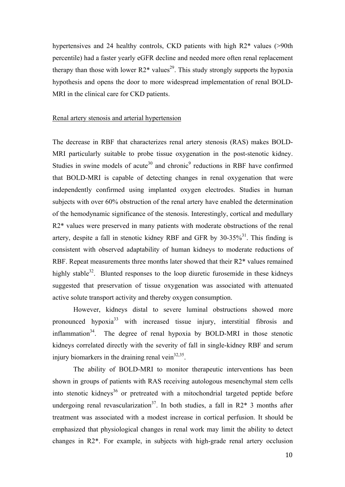hypertensives and 24 healthy controls, CKD patients with high R2<sup>\*</sup> values (>90th percentile) had a faster yearly eGFR decline and needed more often renal replacement therapy than those with lower  $R2^*$  values<sup>29</sup>. This study strongly supports the hypoxia hypothesis and opens the door to more widespread implementation of renal BOLD-MRI in the clinical care for CKD patients.

## Renal artery stenosis and arterial hypertension

The decrease in RBF that characterizes renal artery stenosis (RAS) makes BOLD-MRI particularly suitable to probe tissue oxygenation in the post-stenotic kidney. Studies in swine models of acute<sup>30</sup> and chronic<sup>9</sup> reductions in RBF have confirmed that BOLD-MRI is capable of detecting changes in renal oxygenation that were independently confirmed using implanted oxygen electrodes. Studies in human subjects with over 60% obstruction of the renal artery have enabled the determination of the hemodynamic significance of the stenosis. Interestingly, cortical and medullary R2\* values were preserved in many patients with moderate obstructions of the renal artery, despite a fall in stenotic kidney RBF and GFR by  $30-35\%$ <sup>31</sup>. This finding is consistent with observed adaptability of human kidneys to moderate reductions of RBF. Repeat measurements three months later showed that their R2\* values remained highly stable $32$ . Blunted responses to the loop diuretic furosemide in these kidneys suggested that preservation of tissue oxygenation was associated with attenuated active solute transport activity and thereby oxygen consumption.

However, kidneys distal to severe luminal obstructions showed more pronounced hypoxia<sup>33</sup> with increased tissue injury, interstitial fibrosis and inflammation $34$ . The degree of renal hypoxia by BOLD-MRI in those stenotic kidneys correlated directly with the severity of fall in single-kidney RBF and serum injury biomarkers in the draining renal vein $^{32,35}$ .

The ability of BOLD-MRI to monitor therapeutic interventions has been shown in groups of patients with RAS receiving autologous mesenchymal stem cells into stenotic kidneys<sup>36</sup> or pretreated with a mitochondrial targeted peptide before undergoing renal revascularization<sup>37</sup>. In both studies, a fall in  $R2*3$  months after treatment was associated with a modest increase in cortical perfusion. It should be emphasized that physiological changes in renal work may limit the ability to detect changes in R2\*. For example, in subjects with high-grade renal artery occlusion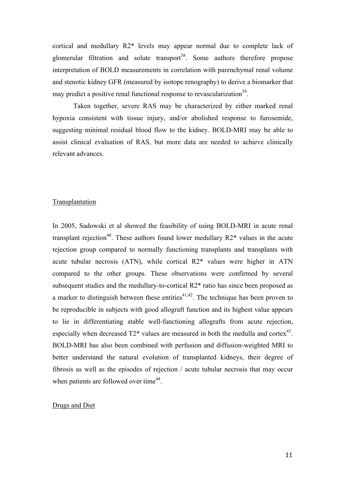cortical and medullary R2\* levels may appear normal due to complete lack of glomerular filtration and solute transport<sup>38</sup>. Some authors therefore propose interpretation of BOLD measurements in correlation with parenchymal renal volume and stenotic kidney GFR (measured by isotope renography) to derive a biomarker that may predict a positive renal functional response to revascularization<sup>39</sup>.

Taken together, severe RAS may be characterized by either marked renal hypoxia consistent with tissue injury, and/or abolished response to furosemide, suggesting minimal residual blood flow to the kidney. BOLD-MRI may be able to assist clinical evaluation of RAS, but more data are needed to achieve clinically relevant advances.

#### Transplantation

In 2005, Sadowski et al showed the feasibility of using BOLD-MRI in acute renal transplant rejection<sup>40</sup>. These authors found lower medullary  $R2^*$  values in the acute rejection group compared to normally functioning transplants and transplants with acute tubular necrosis (ATN), while cortical R2\* values were higher in ATN compared to the other groups. These observations were confirmed by several subsequent studies and the medullary-to-cortical R2\* ratio has since been proposed as a marker to distinguish between these entities<sup> $41,42$ </sup>. The technique has been proven to be reproducible in subjects with good allograft function and its highest value appears to lie in differentiating stable well-functioning allografts from acute rejection, especially when decreased  $T2^*$  values are measured in both the medulla and cortex<sup>43</sup>. BOLD-MRI has also been combined with perfusion and diffusion-weighted MRI to better understand the natural evolution of transplanted kidneys, their degree of fibrosis as well as the episodes of rejection / acute tubular necrosis that may occur when patients are followed over time<sup>44</sup>.

#### Drugs and Diet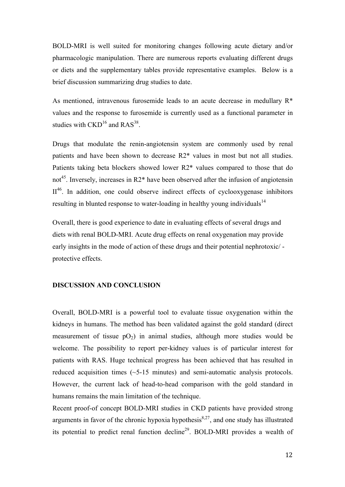BOLD-MRI is well suited for monitoring changes following acute dietary and/or pharmacologic manipulation. There are numerous reports evaluating different drugs or diets and the supplementary tables provide representative examples. Below is a brief discussion summarizing drug studies to date.

As mentioned, intravenous furosemide leads to an acute decrease in medullary R\* values and the response to furosemide is currently used as a functional parameter in studies with  $\text{CKD}^{16}$  and  $\text{RAS}^{38}$ .

Drugs that modulate the renin-angiotensin system are commonly used by renal patients and have been shown to decrease R2\* values in most but not all studies. Patients taking beta blockers showed lower R2\* values compared to those that do not<sup>45</sup>. Inversely, increases in R2 $*$  have been observed after the infusion of angiotensin  $II<sup>46</sup>$ . In addition, one could observe indirect effects of cyclooxygenase inhibitors resulting in blunted response to water-loading in healthy young individuals<sup>14</sup>

Overall, there is good experience to date in evaluating effects of several drugs and diets with renal BOLD-MRI. Acute drug effects on renal oxygenation may provide early insights in the mode of action of these drugs and their potential nephrotoxic/ protective effects.

#### **DISCUSSION AND CONCLUSION**

Overall, BOLD-MRI is a powerful tool to evaluate tissue oxygenation within the kidneys in humans. The method has been validated against the gold standard (direct measurement of tissue  $pO_2$ ) in animal studies, although more studies would be welcome. The possibility to report per-kidney values is of particular interest for patients with RAS. Huge technical progress has been achieved that has resulted in reduced acquisition times (~5-15 minutes) and semi-automatic analysis protocols. However, the current lack of head-to-head comparison with the gold standard in humans remains the main limitation of the technique.

Recent proof-of concept BOLD-MRI studies in CKD patients have provided strong arguments in favor of the chronic hypoxia hypothesis $8,27$ , and one study has illustrated its potential to predict renal function decline<sup>29</sup>. BOLD-MRI provides a wealth of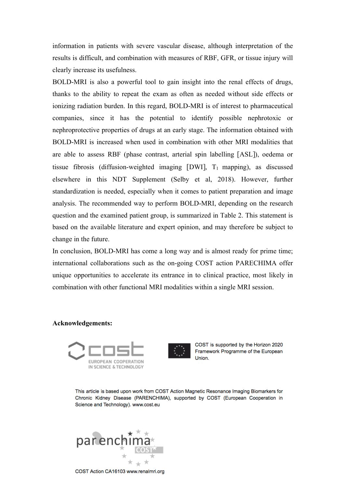information in patients with severe vascular disease, although interpretation of the results is difficult, and combination with measures of RBF, GFR, or tissue injury will clearly increase its usefulness.

BOLD-MRI is also a powerful tool to gain insight into the renal effects of drugs, thanks to the ability to repeat the exam as often as needed without side effects or ionizing radiation burden. In this regard, BOLD-MRI is of interest to pharmaceutical companies, since it has the potential to identify possible nephrotoxic or nephroprotective properties of drugs at an early stage. The information obtained with BOLD-MRI is increased when used in combination with other MRI modalities that are able to assess RBF (phase contrast, arterial spin labelling [ASL]), oedema or tissue fibrosis (diffusion-weighted imaging [DWI],  $T_1$  mapping), as discussed elsewhere in this NDT Supplement (Selby et al, 2018). However, further standardization is needed, especially when it comes to patient preparation and image analysis. The recommended way to perform BOLD-MRI, depending on the research question and the examined patient group, is summarized in Table 2. This statement is based on the available literature and expert opinion, and may therefore be subject to change in the future.

In conclusion, BOLD-MRI has come a long way and is almost ready for prime time; international collaborations such as the on-going COST action PARECHIMA offer unique opportunities to accelerate its entrance in to clinical practice, most likely in combination with other functional MRI modalities within a single MRI session.

#### **Acknowledgements:**





COST is supported by the Horizon 2020 Framework Programme of the European Union.

This article is based upon work from COST Action Magnetic Resonance Imaging Biomarkers for Chronic Kidney Disease (PARENCHIMA), supported by COST (European Cooperation in Science and Technology), www.cost.eu



COST Action CA16103 www.renalmri.org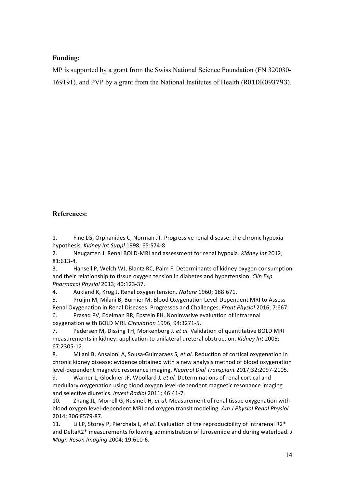## **Funding:**

MP is supported by a grant from the Swiss National Science Foundation (FN 320030- 169191), and PVP by a grant from the National Institutes of Health (R01DK093793).

## **References:**

1. Fine LG, Orphanides C, Norman JT. Progressive renal disease: the chronic hypoxia hypothesis. *Kidney Int Suppl* 1998; 65:S74-8.

2. Neugarten J. Renal BOLD-MRI and assessment for renal hypoxia. *Kidney Int* 2012; 81:613-4.

3. Hansell P, Welch WJ, Blantz RC, Palm F. Determinants of kidney oxygen consumption and their relationship to tissue oxygen tension in diabetes and hypertension. *Clin Exp Pharmacol Physiol* 2013; 40:123-37.

4. Aukland K, Krog J. Renal oxygen tension. *Nature* 1960; 188:671.

5. Pruijm M, Milani B, Burnier M. Blood Oxygenation Level-Dependent MRI to Assess Renal Oxygenation in Renal Diseases: Progresses and Challenges. *Front Physiol* 2016; 7:667.

6. Prasad PV, Edelman RR, Epstein FH. Noninvasive evaluation of intrarenal oxygenation with BOLD MRI. *Circulation* 1996; 94:3271-5.

7. Pedersen M, Dissing TH, Morkenborg J, et al. Validation of quantitative BOLD MRI measurements in kidney: application to unilateral ureteral obstruction. *Kidney Int* 2005; 67:2305-12.

8. Milani B, Ansaloni A, Sousa-Guimaraes S, et al. Reduction of cortical oxygenation in chronic kidney disease: evidence obtained with a new analysis method of blood oxygenation level-dependent magnetic resonance imaging. Nephrol Dial Transplant 2017;32:2097-2105.

9. Warner L, Glockner JF, Woollard J, et al. Determinations of renal cortical and medullary oxygenation using blood oxygen level-dependent magnetic resonance imaging and selective diuretics. *Invest Radiol* 2011; 46:41-7.

10. Zhang JL, Morrell G, Rusinek H, et al. Measurement of renal tissue oxygenation with blood oxygen level-dependent MRI and oxygen transit modeling. Am J Physiol Renal Physiol 2014; 306:F579-87.

11. Li LP, Storey P, Pierchala L, et al. Evaluation of the reproducibility of intrarenal R2<sup>\*</sup> and DeltaR2<sup>\*</sup> measurements following administration of furosemide and during waterload. *J Magn Reson Imaging* 2004; 19:610-6.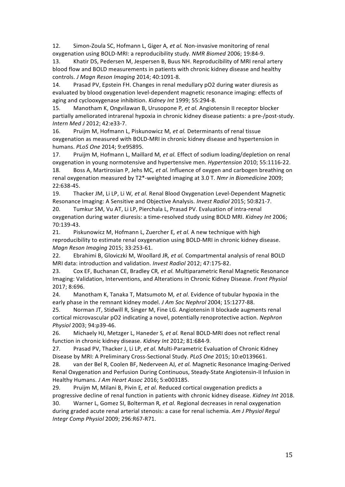12. Simon-Zoula SC, Hofmann L, Giger A, et al. Non-invasive monitoring of renal oxygenation using BOLD-MRI: a reproducibility study. *NMR Biomed* 2006; 19:84-9.

13. Khatir DS, Pedersen M. Jespersen B. Buus NH. Reproducibility of MRI renal artery blood flow and BOLD measurements in patients with chronic kidney disease and healthy controls. *J Magn Reson Imaging* 2014; 40:1091-8.

14. Prasad PV, Epstein FH. Changes in renal medullary pO2 during water diuresis as evaluated by blood oxygenation level-dependent magnetic resonance imaging: effects of aging and cyclooxygenase inhibition. *Kidney Int* 1999; 55:294-8.

15. Manotham K, Ongvilawan B, Urusopone P, et al. Angiotensin II receptor blocker partially ameliorated intrarenal hypoxia in chronic kidney disease patients: a pre-/post-study. *Intern Med J* 2012; 42:e33-7.

16. Pruijm M, Hofmann L, Piskunowicz M, et al. Determinants of renal tissue oxygenation as measured with BOLD-MRI in chronic kidney disease and hypertension in humans. *PLoS One* 2014; 9:e95895.

17. Pruijm M, Hofmann L, Maillard M, et al. Effect of sodium loading/depletion on renal oxygenation in young normotensive and hypertensive men. *Hypertension* 2010; 55:1116-22. 18. Boss A, Martirosian P, Jehs MC, *et al.* Influence of oxygen and carbogen breathing on renal oxygenation measured by T2\*-weighted imaging at 3.0 T. *Nmr in Biomedicine* 2009; 22:638-45.

19. Thacker JM, Li LP, Li W, et al. Renal Blood Oxygenation Level-Dependent Magnetic Resonance Imaging: A Sensitive and Objective Analysis. *Invest Radiol* 2015; 50:821-7.

20. Tumkur SM, Vu AT, Li LP, Pierchala L, Prasad PV. Evaluation of intra-renal oxygenation during water diuresis: a time-resolved study using BOLD MRI. *Kidney Int* 2006; 70:139-43.

21. Piskunowicz M, Hofmann L, Zuercher E, et al. A new technique with high reproducibility to estimate renal oxygenation using BOLD-MRI in chronic kidney disease. *Magn Reson Imaging* 2015; 33:253-61.

22. Ebrahimi B, Gloviczki M, Woollard JR, et al. Compartmental analysis of renal BOLD MRI data: introduction and validation. *Invest Radiol* 2012; 47:175-82.

23. Cox EF, Buchanan CE, Bradley CR, et al. Multiparametric Renal Magnetic Resonance Imaging: Validation, Interventions, and Alterations in Chronic Kidney Disease. *Front Physiol* 2017; 8:696.

24. Manotham K, Tanaka T, Matsumoto M, et al. Evidence of tubular hypoxia in the early phase in the remnant kidney model. *J Am Soc Nephrol* 2004; 15:1277-88.

25. Norman JT, Stidwill R, Singer M, Fine LG. Angiotensin II blockade augments renal cortical microvascular pO2 indicating a novel, potentially renoprotective action. *Nephron Physiol* 2003; 94:p39-46.

26. Michaely HJ, Metzger L, Haneder S, et al. Renal BOLD-MRI does not reflect renal function in chronic kidney disease. *Kidney Int* 2012; 81:684-9.

27. Prasad PV, Thacker J, Li LP, et al. Multi-Parametric Evaluation of Chronic Kidney Disease by MRI: A Preliminary Cross-Sectional Study. *PLoS One* 2015; 10:e0139661.

28. van der Bel R, Coolen BF, Nederveen AJ, et al. Magnetic Resonance Imaging-Derived Renal Oxygenation and Perfusion During Continuous, Steady-State Angiotensin-II Infusion in Healthy Humans. *J Am Heart Assoc* 2016; 5:e003185.

29. Pruijm M, Milani B, Pivin E, et al. Reduced cortical oxygenation predicts a progressive decline of renal function in patients with chronic kidney disease. *Kidney Int* 2018. 30. Warner L, Gomez SI, Bolterman R, et al. Regional decreases in renal oxygenation during graded acute renal arterial stenosis: a case for renal ischemia. Am J Physiol Regul *Integr Comp Physiol* 2009; 296:R67-R71.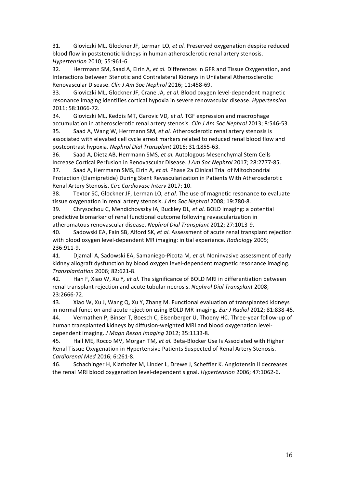31. Gloviczki ML, Glockner JF, Lerman LO, et al. Preserved oxygenation despite reduced blood flow in poststenotic kidneys in human atherosclerotic renal artery stenosis. *Hypertension* 2010; 55:961-6.

32. Herrmann SM, Saad A, Eirin A, et al. Differences in GFR and Tissue Oxygenation, and Interactions between Stenotic and Contralateral Kidneys in Unilateral Atherosclerotic Renovascular Disease. *Clin J Am Soc Nephrol* 2016; 11:458-69.

33. Gloviczki ML, Glockner JF, Crane JA, et al. Blood oxygen level-dependent magnetic resonance imaging identifies cortical hypoxia in severe renovascular disease. *Hypertension* 2011; 58:1066-72.

34. Gloviczki ML, Keddis MT, Garovic VD, et al. TGF expression and macrophage accumulation in atherosclerotic renal artery stenosis. *Clin J Am Soc Nephrol* 2013; 8:546-53. 35. Saad A, Wang W, Herrmann SM, et al. Atherosclerotic renal artery stenosis is

associated with elevated cell cycle arrest markers related to reduced renal blood flow and postcontrast hypoxia. *Nephrol Dial Transplant* 2016; 31:1855-63.

36. Saad A, Dietz AB, Herrmann SMS, et al. Autologous Mesenchymal Stem Cells Increase Cortical Perfusion in Renovascular Disease. *J Am Soc Nephrol* 2017; 28:2777-85. 37. Saad A, Herrmann SMS, Eirin A, et al. Phase 2a Clinical Trial of Mitochondrial Protection (Elamipretide) During Stent Revascularization in Patients With Atherosclerotic

Renal Artery Stenosis. *Circ Cardiovasc Interv* 2017; 10.

38. Textor SC, Glockner JF, Lerman LO, et al. The use of magnetic resonance to evaluate tissue oxygenation in renal artery stenosis. *J Am Soc Nephrol* 2008; 19:780-8.

39. Chrysochou C, Mendichovszky IA, Buckley DL, et al. BOLD imaging: a potential predictive biomarker of renal functional outcome following revascularization in atheromatous renovascular disease. Nephrol Dial Transplant 2012; 27:1013-9.

40. Sadowski EA, Fain SB, Alford SK, et al. Assessment of acute renal transplant rejection with blood oxygen level-dependent MR imaging: initial experience. *Radiology* 2005; 236:911-9.

41. Djamali A, Sadowski EA, Samaniego-Picota M, et al. Noninvasive assessment of early kidney allograft dysfunction by blood oxygen level-dependent magnetic resonance imaging. *Transplantation* 2006; 82:621-8.

42. Han F, Xiao W, Xu Y, et al. The significance of BOLD MRI in differentiation between renal transplant rejection and acute tubular necrosis. *Nephrol Dial Transplant* 2008; 23:2666-72.

43. Xiao W, Xu J, Wang Q, Xu Y, Zhang M. Functional evaluation of transplanted kidneys in normal function and acute rejection using BOLD MR imaging. *Eur J Radiol* 2012; 81:838-45.

44. Vermathen P, Binser T, Boesch C, Eisenberger U, Thoeny HC. Three-year follow-up of human transplanted kidneys by diffusion-weighted MRI and blood oxygenation leveldependent imaging. *J Magn Reson Imaging* 2012; 35:1133-8.

45. Hall ME, Rocco MV, Morgan TM, et al. Beta-Blocker Use Is Associated with Higher Renal Tissue Oxygenation in Hypertensive Patients Suspected of Renal Artery Stenosis. *Cardiorenal Med* 2016; 6:261-8.

46. Schachinger H, Klarhofer M, Linder L, Drewe J, Scheffler K. Angiotensin II decreases the renal MRI blood oxygenation level-dependent signal. *Hypertension* 2006; 47:1062-6.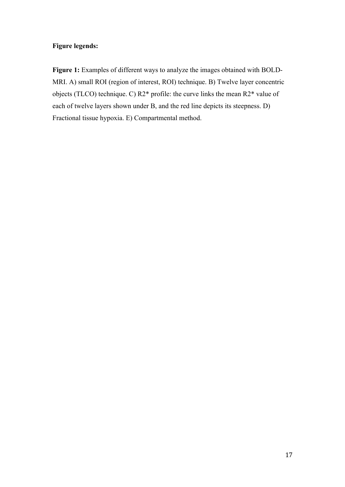## **Figure legends:**

Figure 1: Examples of different ways to analyze the images obtained with BOLD-MRI. A) small ROI (region of interest, ROI) technique. B) Twelve layer concentric objects (TLCO) technique. C) R2\* profile: the curve links the mean R2\* value of each of twelve layers shown under B, and the red line depicts its steepness. D) Fractional tissue hypoxia. E) Compartmental method.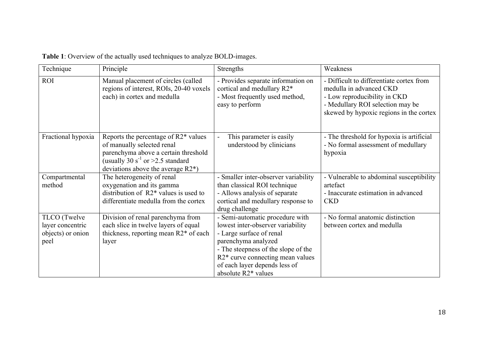| Technique                                                     | Principle                                                                                                                                                                                                       | Strengths                                                                                                                                                                                                                                                  | Weakness                                                                                                                                                                           |
|---------------------------------------------------------------|-----------------------------------------------------------------------------------------------------------------------------------------------------------------------------------------------------------------|------------------------------------------------------------------------------------------------------------------------------------------------------------------------------------------------------------------------------------------------------------|------------------------------------------------------------------------------------------------------------------------------------------------------------------------------------|
| <b>ROI</b>                                                    | Manual placement of circles (called<br>regions of interest, ROIs, 20-40 voxels<br>each) in cortex and medulla                                                                                                   | - Provides separate information on<br>cortical and medullary R2*<br>- Most frequently used method,<br>easy to perform                                                                                                                                      | - Difficult to differentiate cortex from<br>medulla in advanced CKD<br>- Low reproducibility in CKD<br>- Medullary ROI selection may be<br>skewed by hypoxic regions in the cortex |
| Fractional hypoxia                                            | Reports the percentage of R2 <sup>*</sup> values<br>of manually selected renal<br>parenchyma above a certain threshold<br>(usually 30 s <sup>-1</sup> or >2.5 standard<br>deviations above the average $R2^*$ ) | This parameter is easily<br>understood by clinicians                                                                                                                                                                                                       | - The threshold for hypoxia is artificial<br>- No formal assessment of medullary<br>hypoxia                                                                                        |
| Compartmental<br>method                                       | The heterogeneity of renal<br>oxygenation and its gamma<br>distribution of $R2^*$ values is used to<br>differentiate medulla from the cortex                                                                    | - Smaller inter-observer variability<br>than classical ROI technique<br>- Allows analysis of separate<br>cortical and medullary response to<br>drug challenge                                                                                              | - Vulnerable to abdominal susceptibility<br>artefact<br>- Inaccurate estimation in advanced<br><b>CKD</b>                                                                          |
| TLCO (Twelve<br>layer concentric<br>objects) or onion<br>peel | Division of renal parenchyma from<br>each slice in twelve layers of equal<br>thickness, reporting mean R2 <sup>*</sup> of each<br>layer                                                                         | - Semi-automatic procedure with<br>lowest inter-observer variability<br>- Large surface of renal<br>parenchyma analyzed<br>- The steepness of the slope of the<br>R2* curve connecting mean values<br>of each layer depends less of<br>absolute R2* values | - No formal anatomic distinction<br>between cortex and medulla                                                                                                                     |